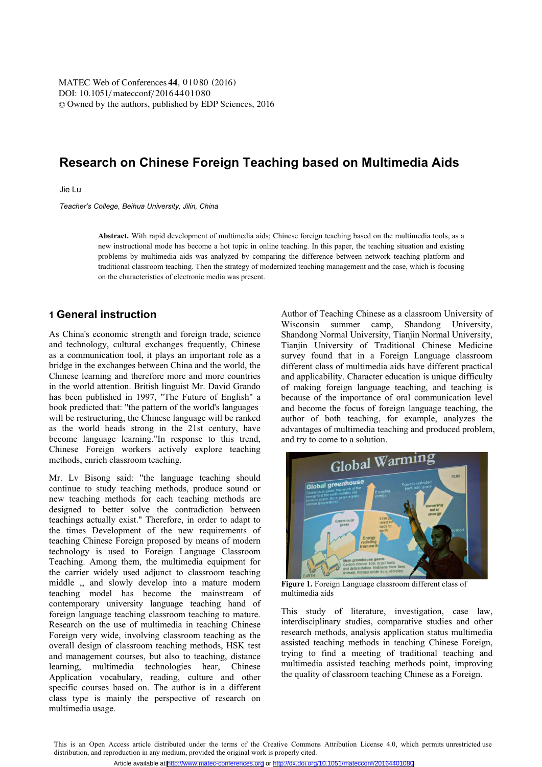DOI: 10.1051/matecconf/20164401080 © Owned by the authors, published by EDP Sciences, 2016 MATEC Web of Conferences 44, 01080 (2016)

# **Research on Chinese Foreign Teaching based on Multimedia Aids**

Jie Lu

*Teacher's College, Beihua University, Jilin, China* 

Abstract. With rapid development of multimedia aids; Chinese foreign teaching based on the multimedia tools, as a new instructional mode has become a hot topic in online teaching. In this paper, the teaching situation and existing problems by multimedia aids was analyzed by comparing the difference between network teaching platform and traditional classroom teaching. Then the strategy of modernized teaching management and the case, which is focusing on the characteristics of electronic media was present.

## **1 General instruction**

As China's economic strength and foreign trade, science and technology, cultural exchanges frequently, Chinese as a communication tool, it plays an important role as a bridge in the exchanges between China and the world, the Chinese learning and therefore more and more countries in the world attention. British linguist Mr. David Grando has been published in 1997, "The Future of English" a book predicted that: "the pattern of the world's languages will be restructuring, the Chinese language will be ranked as the world heads strong in the 21st century, have become language learning."In response to this trend, Chinese Foreign workers actively explore teaching methods, enrich classroom teaching.

Mr. Lv Bisong said: "the language teaching should continue to study teaching methods, produce sound or new teaching methods for each teaching methods are designed to better solve the contradiction between teachings actually exist." Therefore, in order to adapt to the times Development of the new requirements of teaching Chinese Foreign proposed by means of modern technology is used to Foreign Language Classroom Teaching. Among them, the multimedia equipment for the carrier widely used adjunct to classroom teaching middle, and slowly develop into a mature modern teaching model has become the mainstream of contemporary university language teaching hand of foreign language teaching classroom teaching to mature. Research on the use of multimedia in teaching Chinese Foreign very wide, involving classroom teaching as the overall design of classroom teaching methods, HSK test and management courses, but also to teaching, distance learning, multimedia technologies hear, Chinese Application vocabulary, reading, culture and other specific courses based on. The author is in a different class type is mainly the perspective of research on multimedia usage.

Author of Teaching Chinese as a classroom University of Wisconsin summer camp, Shandong University, Shandong Normal University, Tianjin Normal University, Tianjin University of Traditional Chinese Medicine survey found that in a Foreign Language classroom different class of multimedia aids have different practical and applicability. Character education is unique difficulty of making foreign language teaching, and teaching is because of the importance of oral communication level and become the focus of foreign language teaching, the author of both teaching, for example, analyzes the advantages of multimedia teaching and produced problem, and try to come to a solution.



**Figure 1. Foreign Language classroom different class of** multimedia aids

This study of literature, investigation, case law, interdisciplinary studies, comparative studies and other research methods, analysis application status multimedia assisted teaching methods in teaching Chinese Foreign, trying to find a meeting of traditional teaching and multimedia assisted teaching methods point, improving the quality of classroom teaching Chinese as a Foreign.

This is an Open Access article distributed under the terms of the Creative Commons Attribution License 4.0, which permits unrestricted use distribution, and reproduction in any medium, provided the original work is properly cited. Article available at <http://www.matec-conferences.org> or <http://dx.doi.org/10.1051/matecconf/20164401080>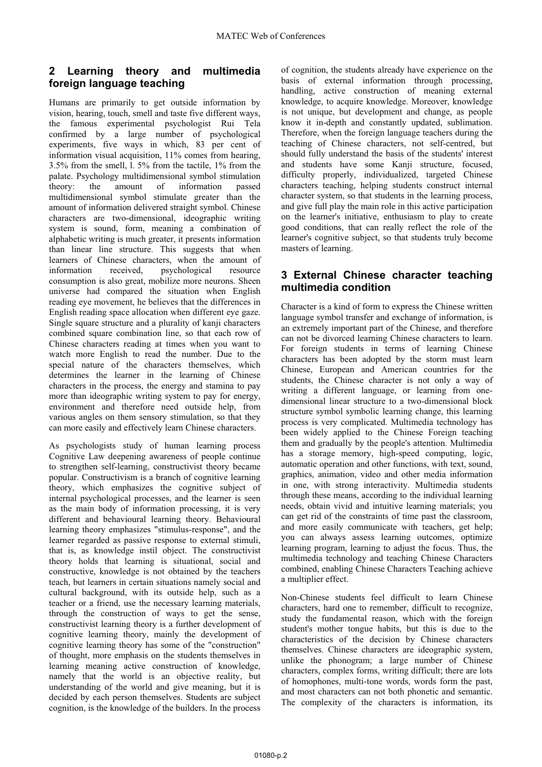#### Learning theory and multimedia  $\mathbf{2}$ foreign language teaching

Humans are primarily to get outside information by vision, hearing, touch, smell and taste five different ways, the famous experimental psychologist Rui Tela confirmed by a large number of psychological experiments, five ways in which, 83 per cent of information visual acquisition, 11% comes from hearing,  $3.5\%$  from the smell, 1. 5% from the tactile, 1% from the palate. Psychology multidimensional symbol stimulation the amount of information theory: passed multidimensional symbol stimulate greater than the amount of information delivered straight symbol. Chinese characters are two-dimensional, ideographic writing system is sound, form, meaning a combination of alphabetic writing is much greater, it presents information than linear line structure. This suggests that when learners of Chinese characters, when the amount of psychological information received. resource consumption is also great, mobilize more neurons. Sheen universe had compared the situation when English reading eve movement, he believes that the differences in English reading space allocation when different eye gaze. Single square structure and a plurality of kanji characters combined square combination line, so that each row of Chinese characters reading at times when you want to watch more English to read the number. Due to the special nature of the characters themselves, which determines the learner in the learning of Chinese characters in the process, the energy and stamina to pay more than ideographic writing system to pay for energy, environment and therefore need outside help, from various angles on them sensory stimulation, so that they can more easily and effectively learn Chinese characters.

As psychologists study of human learning process Cognitive Law deepening awareness of people continue to strengthen self-learning, constructivist theory became popular. Constructivism is a branch of cognitive learning theory, which emphasizes the cognitive subject of internal psychological processes, and the learner is seen as the main body of information processing, it is very different and behavioural learning theory. Behavioural learning theory emphasizes "stimulus-response", and the learner regarded as passive response to external stimuli, that is, as knowledge instil object. The constructivist theory holds that learning is situational, social and constructive, knowledge is not obtained by the teachers teach, but learners in certain situations namely social and cultural background, with its outside help, such as a teacher or a friend, use the necessary learning materials, through the construction of ways to get the sense, constructivist learning theory is a further development of cognitive learning theory, mainly the development of cognitive learning theory has some of the "construction" of thought, more emphasis on the students themselves in learning meaning active construction of knowledge, namely that the world is an objective reality, but understanding of the world and give meaning, but it is decided by each person themselves. Students are subject cognition, is the knowledge of the builders. In the process

of cognition, the students already have experience on the basis of external information through processing, handling, active construction of meaning external knowledge, to acquire knowledge. Moreover, knowledge is not unique, but development and change, as people know it in-depth and constantly updated, sublimation. Therefore, when the foreign language teachers during the teaching of Chinese characters, not self-centred, but should fully understand the basis of the students' interest and students have some Kanji structure, focused, difficulty properly, individualized, targeted Chinese characters teaching, helping students construct internal character system, so that students in the learning process, and give full play the main role in this active participation on the learner's initiative, enthusiasm to play to create good conditions, that can really reflect the role of the learner's cognitive subject, so that students truly become masters of learning.

### 3 External Chinese character teaching multimedia condition

Character is a kind of form to express the Chinese written language symbol transfer and exchange of information, is an extremely important part of the Chinese, and therefore can not be divorced learning Chinese characters to learn. For foreign students in terms of learning Chinese characters has been adopted by the storm must learn Chinese, European and American countries for the students, the Chinese character is not only a way of writing a different language, or learning from onedimensional linear structure to a two-dimensional block structure symbol symbolic learning change, this learning process is very complicated. Multimedia technology has been widely applied to the Chinese Foreign teaching them and gradually by the people's attention. Multimedia has a storage memory, high-speed computing, logic, automatic operation and other functions, with text, sound, graphics, animation, video and other media information in one, with strong interactivity. Multimedia students through these means, according to the individual learning needs, obtain vivid and intuitive learning materials; you can get rid of the constraints of time past the classroom. and more easily communicate with teachers, get help: vou can always assess learning outcomes, optimize learning program, learning to adjust the focus. Thus, the multimedia technology and teaching Chinese Characters combined, enabling Chinese Characters Teaching achieve a multiplier effect.

Non-Chinese students feel difficult to learn Chinese characters, hard one to remember, difficult to recognize, study the fundamental reason, which with the foreign student's mother tongue habits, but this is due to the characteristics of the decision by Chinese characters themselves. Chinese characters are ideographic system, unlike the phonogram; a large number of Chinese characters, complex forms, writing difficult; there are lots of homophones, multi-tone words, words form the past, and most characters can not both phonetic and semantic. The complexity of the characters is information, its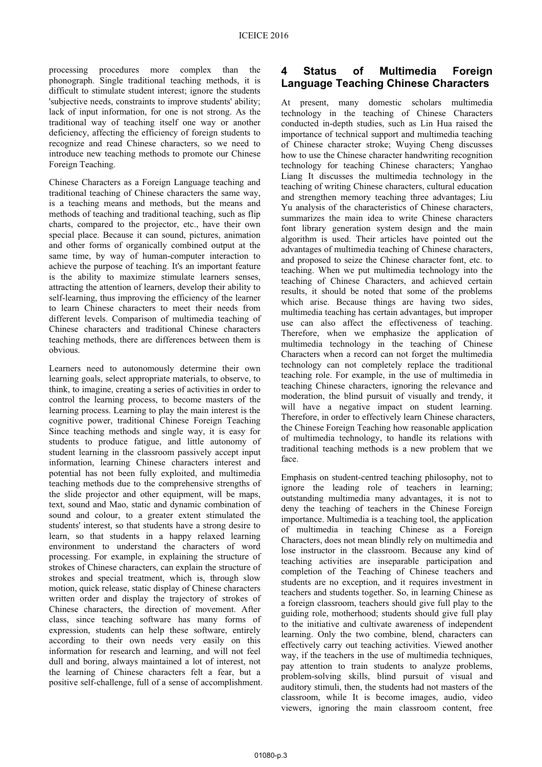processing procedures more complex than the phonograph. Single traditional teaching methods, it is difficult to stimulate student interest; ignore the students 'subjective needs, constraints to improve students' ability; lack of input information, for one is not strong. As the traditional way of teaching itself one way or another deficiency, affecting the efficiency of foreign students to recognize and read Chinese characters, so we need to introduce new teaching methods to promote our Chinese Foreign Teaching.

Chinese Characters as a Foreign Language teaching and traditional teaching of Chinese characters the same way, is a teaching means and methods, but the means and methods of teaching and traditional teaching, such as flip charts, compared to the projector, etc., have their own special place. Because it can sound, pictures, animation and other forms of organically combined output at the same time, by way of human-computer interaction to achieve the purpose of teaching. It's an important feature is the ability to maximize stimulate learners senses. attracting the attention of learners, develop their ability to self-learning, thus improving the efficiency of the learner to learn Chinese characters to meet their needs from different levels. Comparison of multimedia teaching of Chinese characters and traditional Chinese characters teaching methods, there are differences between them is obvious.

Learners need to autonomously determine their own learning goals, select appropriate materials, to observe, to think, to imagine, creating a series of activities in order to control the learning process, to become masters of the learning process. Learning to play the main interest is the cognitive power, traditional Chinese Foreign Teaching Since teaching methods and single way, it is easy for students to produce fatigue, and little autonomy of student learning in the classroom passively accept input information, learning Chinese characters interest and potential has not been fully exploited, and multimedia teaching methods due to the comprehensive strengths of the slide projector and other equipment, will be maps, text, sound and Mao, static and dynamic combination of sound and colour, to a greater extent stimulated the students' interest, so that students have a strong desire to learn, so that students in a happy relaxed learning environment to understand the characters of word processing. For example, in explaining the structure of strokes of Chinese characters, can explain the structure of strokes and special treatment, which is, through slow motion, quick release, static display of Chinese characters written order and display the trajectory of strokes of Chinese characters, the direction of movement. After class, since teaching software has many forms of expression, students can help these software, entirely according to their own needs very easily on this information for research and learning, and will not feel dull and boring, always maintained a lot of interest, not the learning of Chinese characters felt a fear, but a positive self-challenge, full of a sense of accomplishment.

#### $\blacktriangle$ **Status of Multimedia Foreign Language Teaching Chinese Characters**

At present, many domestic scholars multimedia technology in the teaching of Chinese Characters conducted in-depth studies, such as Lin Hua raised the importance of technical support and multimedia teaching of Chinese character stroke; Wuying Cheng discusses how to use the Chinese character handwriting recognition technology for teaching Chinese characters; Yanghao Liang It discusses the multimedia technology in the teaching of writing Chinese characters, cultural education and strengthen memory teaching three advantages: Liu Yu analysis of the characteristics of Chinese characters, summarizes the main idea to write Chinese characters font library generation system design and the main algorithm is used. Their articles have pointed out the advantages of multimedia teaching of Chinese characters, and proposed to seize the Chinese character font, etc. to teaching. When we put multimedia technology into the teaching of Chinese Characters, and achieved certain results, it should be noted that some of the problems which arise. Because things are having two sides, multimedia teaching has certain advantages, but improper use can also affect the effectiveness of teaching. Therefore, when we emphasize the application of multimedia technology in the teaching of Chinese Characters when a record can not forget the multimedia technology can not completely replace the traditional teaching role. For example, in the use of multimedia in teaching Chinese characters, ignoring the relevance and moderation, the blind pursuit of visually and trendy, it will have a negative impact on student learning. Therefore, in order to effectively learn Chinese characters, the Chinese Foreign Teaching how reasonable application of multimedia technology, to handle its relations with traditional teaching methods is a new problem that we face

Emphasis on student-centred teaching philosophy, not to ignore the leading role of teachers in learning; outstanding multimedia many advantages, it is not to deny the teaching of teachers in the Chinese Foreign importance. Multimedia is a teaching tool, the application of multimedia in teaching Chinese as a Foreign Characters, does not mean blindly rely on multimedia and lose instructor in the classroom. Because any kind of teaching activities are inseparable participation and completion of the Teaching of Chinese teachers and students are no exception, and it requires investment in teachers and students together. So, in learning Chinese as a foreign classroom, teachers should give full play to the guiding role, motherhood; students should give full play to the initiative and cultivate awareness of independent learning. Only the two combine, blend, characters can effectively carry out teaching activities. Viewed another way, if the teachers in the use of multimedia techniques, pay attention to train students to analyze problems, problem-solving skills, blind pursuit of visual and auditory stimuli, then, the students had not masters of the classroom, while It is become images, audio, video viewers, ignoring the main classroom content, free